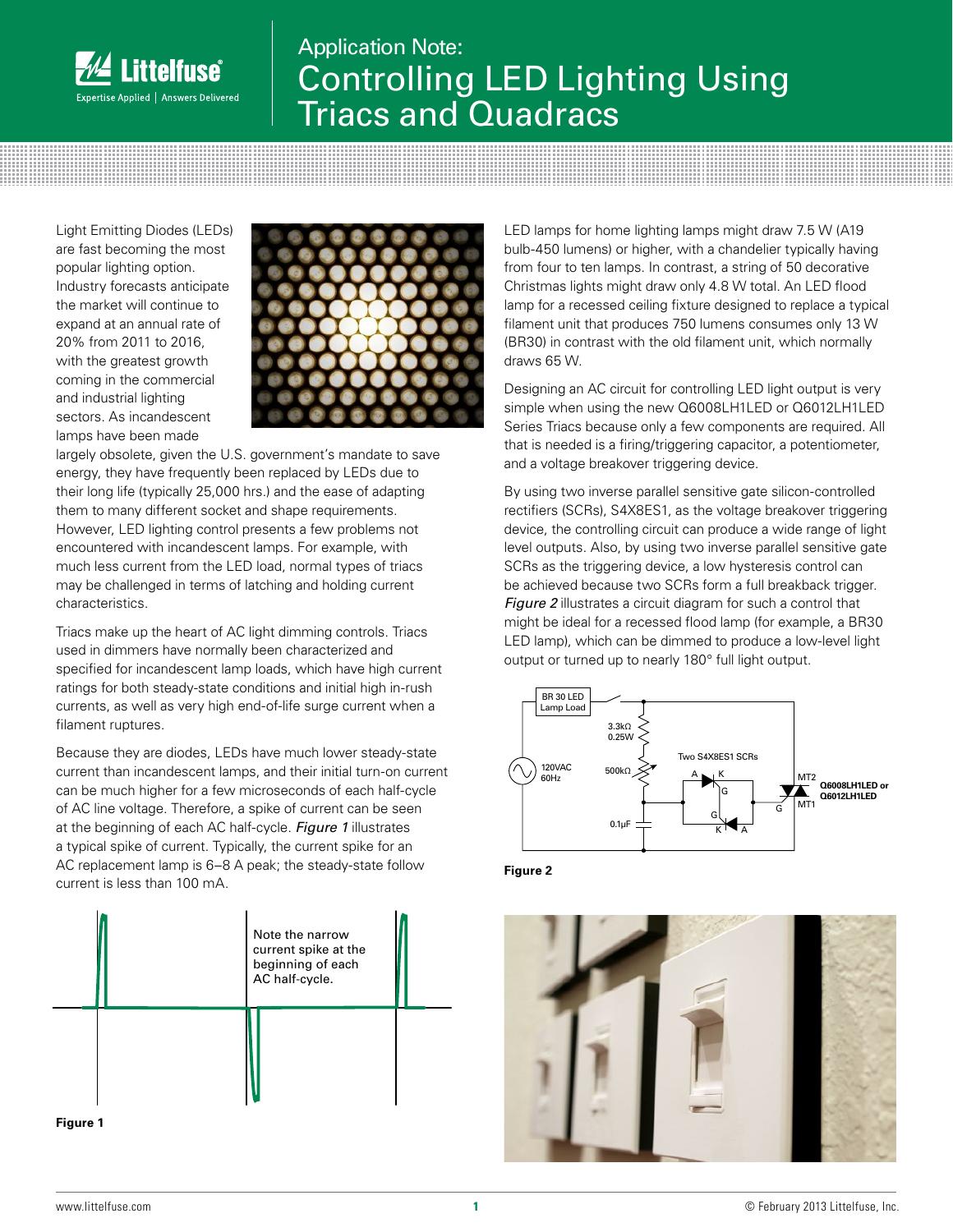

## Application Note: Controlling LED Lighting Using Triacs and Quadracs

Light Emitting Diodes (LEDs) are fast becoming the most popular lighting option. Industry forecasts anticipate the market will continue to expand at an annual rate of 20% from 2011 to 2016, with the greatest growth coming in the commercial and industrial lighting sectors. As incandescent lamps have been made



largely obsolete, given the U.S. government's mandate to save energy, they have frequently been replaced by LEDs due to their long life (typically 25,000 hrs.) and the ease of adapting them to many different socket and shape requirements. However, LED lighting control presents a few problems not encountered with incandescent lamps. For example, with much less current from the LED load, normal types of triacs may be challenged in terms of latching and holding current characteristics.

Triacs make up the heart of AC light dimming controls. Triacs used in dimmers have normally been characterized and specified for incandescent lamp loads, which have high current ratings for both steady-state conditions and initial high in-rush currents, as well as very high end-of-life surge current when a filament ruptures.

Because they are diodes, LEDs have much lower steady-state current than incandescent lamps, and their initial turn-on current can be much higher for a few microseconds of each half-cycle of AC line voltage. Therefore, a spike of current can be seen at the beginning of each AC half-cycle. *Figure 1* illustrates a typical spike of current. Typically, the current spike for an AC replacement lamp is 6–8 A peak; the steady-state follow current is less than 100 mA.



LED lamps for home lighting lamps might draw 7.5 W (A19 bulb-450 lumens) or higher, with a chandelier typically having from four to ten lamps. In contrast, a string of 50 decorative Christmas lights might draw only 4.8 W total. An LED flood lamp for a recessed ceiling fixture designed to replace a typical filament unit that produces 750 lumens consumes only 13 W (BR30) in contrast with the old filament unit, which normally draws 65 W.

Designing an AC circuit for controlling LED light output is very simple when using the new Q6008LH1LED or Q6012LH1LED Series Triacs because only a few components are required. All that is needed is a firing/triggering capacitor, a potentiometer, and a voltage breakover triggering device.

By using two inverse parallel sensitive gate silicon-controlled rectifiers (SCRs), S4X8ES1, as the voltage breakover triggering device, the controlling circuit can produce a wide range of light level outputs. Also, by using two inverse parallel sensitive gate SCRs as the triggering device, a low hysteresis control can be achieved because two SCRs form a full breakback trigger. *Figure 2* illustrates a circuit diagram for such a control that might be ideal for a recessed flood lamp (for example, a BR30 LED lamp), which can be dimmed to produce a low-level light output or turned up to nearly 180° full light output.



**Figure 2**